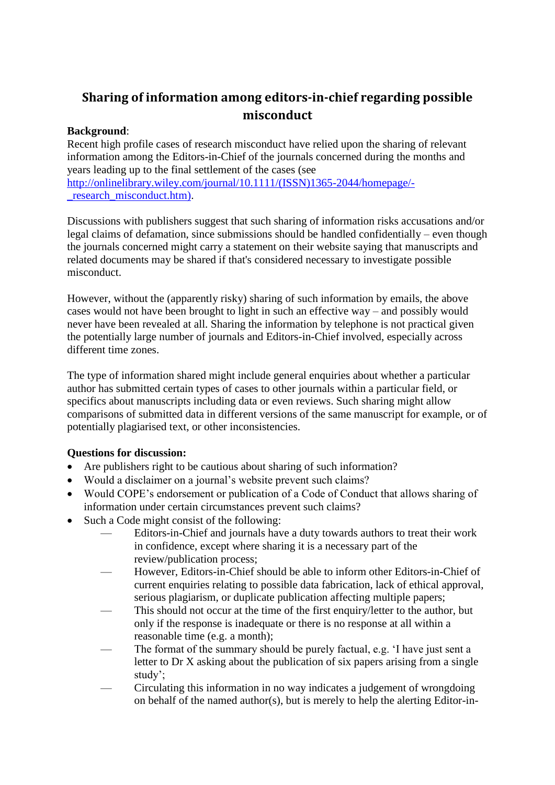# **Sharing of information among editors-in-chief regarding possible misconduct**

## **Background**:

Recent high profile cases of research misconduct have relied upon the sharing of relevant information among the Editors-in-Chief of the journals concerned during the months and years leading up to the final settlement of the cases (see [http://onlinelibrary.wiley.com/journal/10.1111/\(ISSN\)1365-2044/homepage/](http://onlinelibrary.wiley.com/journal/10.1111/(ISSN)1365-2044/homepage/-_research_misconduct.htm)) research misconduct.htm).

Discussions with publishers suggest that such sharing of information risks accusations and/or legal claims of defamation, since submissions should be handled confidentially – even though the journals concerned might carry a statement on their website saying that manuscripts and related documents may be shared if that's considered necessary to investigate possible misconduct.

However, without the (apparently risky) sharing of such information by emails, the above cases would not have been brought to light in such an effective way – and possibly would never have been revealed at all. Sharing the information by telephone is not practical given the potentially large number of journals and Editors-in-Chief involved, especially across different time zones.

The type of information shared might include general enquiries about whether a particular author has submitted certain types of cases to other journals within a particular field, or specifics about manuscripts including data or even reviews. Such sharing might allow comparisons of submitted data in different versions of the same manuscript for example, or of potentially plagiarised text, or other inconsistencies.

## **Questions for discussion:**

- Are publishers right to be cautious about sharing of such information?
- Would a disclaimer on a journal's website prevent such claims?
- Would COPE's endorsement or publication of a Code of Conduct that allows sharing of information under certain circumstances prevent such claims?
- Such a Code might consist of the following:
	- Editors-in-Chief and journals have a duty towards authors to treat their work in confidence, except where sharing it is a necessary part of the review/publication process;
	- However, Editors-in-Chief should be able to inform other Editors-in-Chief of current enquiries relating to possible data fabrication, lack of ethical approval, serious plagiarism, or duplicate publication affecting multiple papers;
	- This should not occur at the time of the first enquiry/letter to the author, but only if the response is inadequate or there is no response at all within a reasonable time (e.g. a month);
	- The format of the summary should be purely factual, e.g. 'I have just sent a letter to Dr X asking about the publication of six papers arising from a single study';
	- Circulating this information in no way indicates a judgement of wrongdoing on behalf of the named author(s), but is merely to help the alerting Editor-in-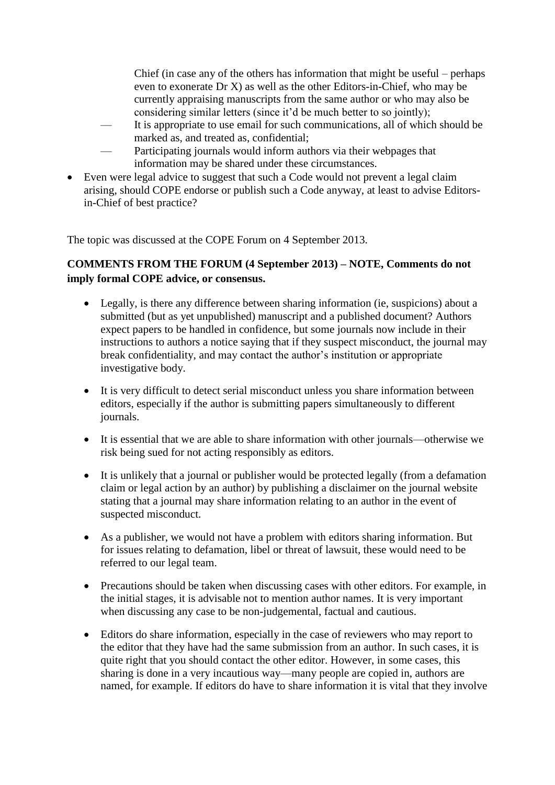Chief (in case any of the others has information that might be useful – perhaps even to exonerate Dr X) as well as the other Editors-in-Chief, who may be currently appraising manuscripts from the same author or who may also be considering similar letters (since it'd be much better to so jointly);

- It is appropriate to use email for such communications, all of which should be marked as, and treated as, confidential;
- Participating journals would inform authors via their webpages that information may be shared under these circumstances.
- Even were legal advice to suggest that such a Code would not prevent a legal claim arising, should COPE endorse or publish such a Code anyway, at least to advise Editorsin-Chief of best practice?

The topic was discussed at the COPE Forum on 4 September 2013.

# **COMMENTS FROM THE FORUM (4 September 2013) – NOTE, Comments do not imply formal COPE advice, or consensus.**

- Legally, is there any difference between sharing information (ie, suspicions) about a submitted (but as yet unpublished) manuscript and a published document? Authors expect papers to be handled in confidence, but some journals now include in their instructions to authors a notice saying that if they suspect misconduct, the journal may break confidentiality, and may contact the author's institution or appropriate investigative body.
- It is very difficult to detect serial misconduct unless you share information between editors, especially if the author is submitting papers simultaneously to different journals.
- It is essential that we are able to share information with other journals—otherwise we risk being sued for not acting responsibly as editors.
- It is unlikely that a journal or publisher would be protected legally (from a defamation claim or legal action by an author) by publishing a disclaimer on the journal website stating that a journal may share information relating to an author in the event of suspected misconduct.
- As a publisher, we would not have a problem with editors sharing information. But for issues relating to defamation, libel or threat of lawsuit, these would need to be referred to our legal team.
- Precautions should be taken when discussing cases with other editors. For example, in the initial stages, it is advisable not to mention author names. It is very important when discussing any case to be non-judgemental, factual and cautious.
- Editors do share information, especially in the case of reviewers who may report to the editor that they have had the same submission from an author. In such cases, it is quite right that you should contact the other editor. However, in some cases, this sharing is done in a very incautious way—many people are copied in, authors are named, for example. If editors do have to share information it is vital that they involve